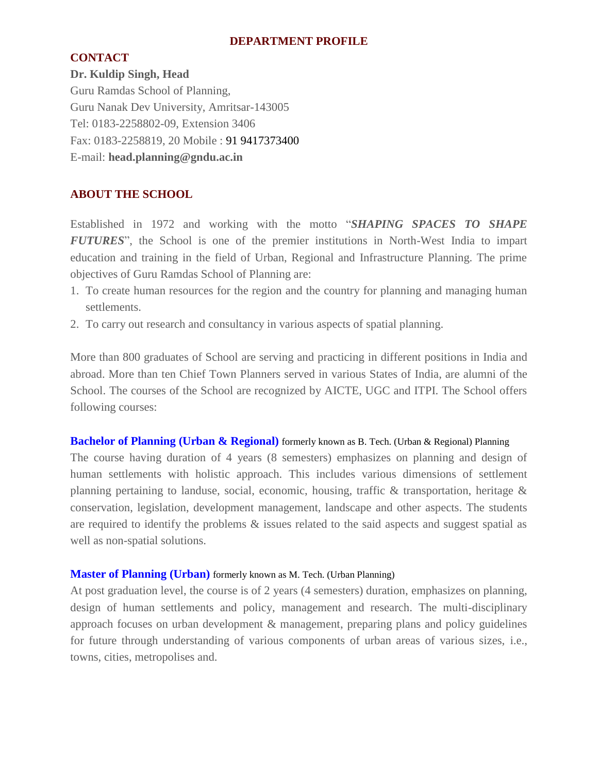### **DEPARTMENT PROFILE**

### **CONTACT**

**Dr. Kuldip Singh, Head** Guru Ramdas School of Planning, Guru Nanak Dev University, Amritsar-143005 Tel: 0183-2258802-09, Extension 3406 Fax: 0183-2258819, 20 Mobile : 91 9417373400 E-mail: **head.planning@gndu.ac.in**

## **ABOUT THE SCHOOL**

Established in 1972 and working with the motto "*SHAPING SPACES TO SHAPE FUTURES*", the School is one of the premier institutions in North-West India to impart education and training in the field of Urban, Regional and Infrastructure Planning. The prime objectives of Guru Ramdas School of Planning are:

- 1. To create human resources for the region and the country for planning and managing human settlements.
- 2. To carry out research and consultancy in various aspects of spatial planning.

More than 800 graduates of School are serving and practicing in different positions in India and abroad. More than ten Chief Town Planners served in various States of India, are alumni of the School. The courses of the School are recognized by AICTE, UGC and ITPI. The School offers following courses:

### **Bachelor of Planning (Urban & Regional)** formerly known as B. Tech. (Urban & Regional) Planning

The course having duration of 4 years (8 semesters) emphasizes on planning and design of human settlements with holistic approach. This includes various dimensions of settlement planning pertaining to landuse, social, economic, housing, traffic & transportation, heritage & conservation, legislation, development management, landscape and other aspects. The students are required to identify the problems & issues related to the said aspects and suggest spatial as well as non-spatial solutions.

### **Master of Planning (Urban)** formerly known as M. Tech. (Urban Planning)

At post graduation level, the course is of 2 years (4 semesters) duration, emphasizes on planning, design of human settlements and policy, management and research. The multi-disciplinary approach focuses on urban development & management, preparing plans and policy guidelines for future through understanding of various components of urban areas of various sizes, i.e., towns, cities, metropolises and.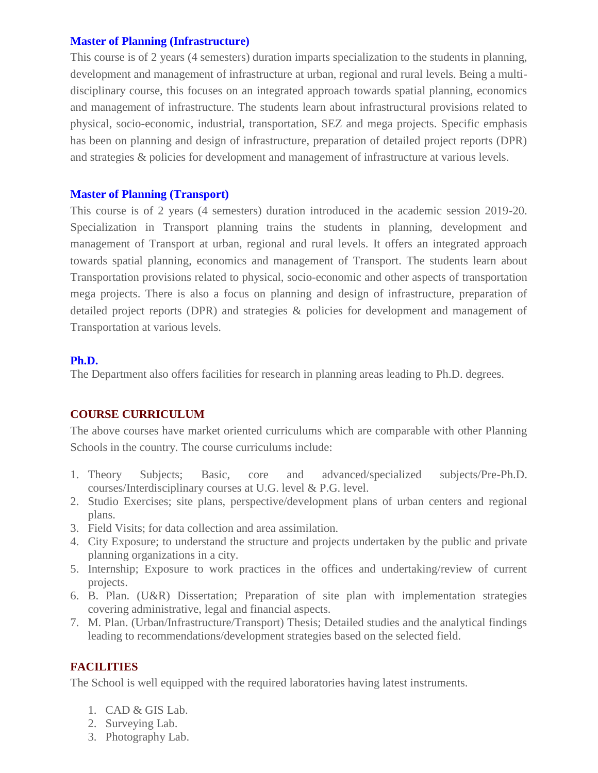### **Master of Planning (Infrastructure)**

This course is of 2 years (4 semesters) duration imparts specialization to the students in planning, development and management of infrastructure at urban, regional and rural levels. Being a multidisciplinary course, this focuses on an integrated approach towards spatial planning, economics and management of infrastructure. The students learn about infrastructural provisions related to physical, socio-economic, industrial, transportation, SEZ and mega projects. Specific emphasis has been on planning and design of infrastructure, preparation of detailed project reports (DPR) and strategies & policies for development and management of infrastructure at various levels.

### **Master of Planning (Transport)**

This course is of 2 years (4 semesters) duration introduced in the academic session 2019-20. Specialization in Transport planning trains the students in planning, development and management of Transport at urban, regional and rural levels. It offers an integrated approach towards spatial planning, economics and management of Transport. The students learn about Transportation provisions related to physical, socio-economic and other aspects of transportation mega projects. There is also a focus on planning and design of infrastructure, preparation of detailed project reports (DPR) and strategies & policies for development and management of Transportation at various levels.

### **Ph.D.**

The Department also offers facilities for research in planning areas leading to Ph.D. degrees.

# **COURSE CURRICULUM**

The above courses have market oriented curriculums which are comparable with other Planning Schools in the country. The course curriculums include:

- 1. Theory Subjects; Basic, core and advanced/specialized subjects/Pre-Ph.D. courses/Interdisciplinary courses at U.G. level & P.G. level.
- 2. Studio Exercises; site plans, perspective/development plans of urban centers and regional plans.
- 3. Field Visits; for data collection and area assimilation.
- 4. City Exposure; to understand the structure and projects undertaken by the public and private planning organizations in a city.
- 5. Internship; Exposure to work practices in the offices and undertaking/review of current projects.
- 6. B. Plan. (U&R) Dissertation; Preparation of site plan with implementation strategies covering administrative, legal and financial aspects.
- 7. M. Plan. (Urban/Infrastructure/Transport) Thesis; Detailed studies and the analytical findings leading to recommendations/development strategies based on the selected field.

# **FACILITIES**

The School is well equipped with the required laboratories having latest instruments.

- 1. CAD & GIS Lab.
- 2. Surveying Lab.
- 3. Photography Lab.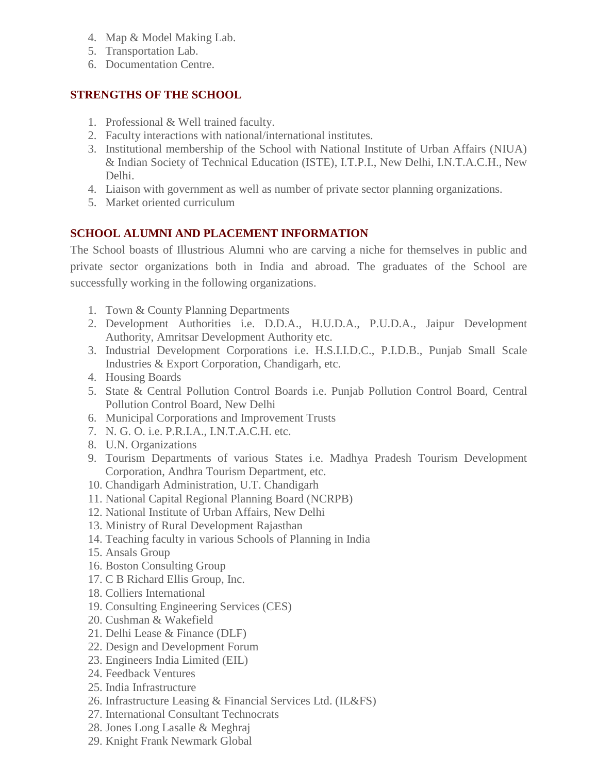- 4. Map & Model Making Lab.
- 5. Transportation Lab.
- 6. Documentation Centre.

## **STRENGTHS OF THE SCHOOL**

- 1. Professional & Well trained faculty.
- 2. Faculty interactions with national/international institutes.
- 3. Institutional membership of the School with National Institute of Urban Affairs (NIUA) & Indian Society of Technical Education (ISTE), I.T.P.I., New Delhi, I.N.T.A.C.H., New Delhi.
- 4. Liaison with government as well as number of private sector planning organizations.
- 5. Market oriented curriculum

## **SCHOOL ALUMNI AND PLACEMENT INFORMATION**

The School boasts of Illustrious Alumni who are carving a niche for themselves in public and private sector organizations both in India and abroad. The graduates of the School are successfully working in the following organizations.

- 1. Town & County Planning Departments
- 2. Development Authorities i.e. D.D.A., H.U.D.A., P.U.D.A., Jaipur Development Authority, Amritsar Development Authority etc.
- 3. Industrial Development Corporations i.e. H.S.I.I.D.C., P.I.D.B., Punjab Small Scale Industries & Export Corporation, Chandigarh, etc.
- 4. Housing Boards
- 5. State & Central Pollution Control Boards i.e. Punjab Pollution Control Board, Central Pollution Control Board, New Delhi
- 6. Municipal Corporations and Improvement Trusts
- 7. N. G. O. i.e. P.R.I.A., I.N.T.A.C.H. etc.
- 8. U.N. Organizations
- 9. Tourism Departments of various States i.e. Madhya Pradesh Tourism Development Corporation, Andhra Tourism Department, etc.
- 10. Chandigarh Administration, U.T. Chandigarh
- 11. National Capital Regional Planning Board (NCRPB)
- 12. National Institute of Urban Affairs, New Delhi
- 13. Ministry of Rural Development Rajasthan
- 14. Teaching faculty in various Schools of Planning in India
- 15. Ansals Group
- 16. Boston Consulting Group
- 17. C B Richard Ellis Group, Inc.
- 18. Colliers International
- 19. Consulting Engineering Services (CES)
- 20. Cushman & Wakefield
- 21. Delhi Lease & Finance (DLF)
- 22. Design and Development Forum
- 23. Engineers India Limited (EIL)
- 24. Feedback Ventures
- 25. India Infrastructure
- 26. Infrastructure Leasing & Financial Services Ltd. (IL&FS)
- 27. International Consultant Technocrats
- 28. Jones Long Lasalle & Meghraj
- 29. Knight Frank Newmark Global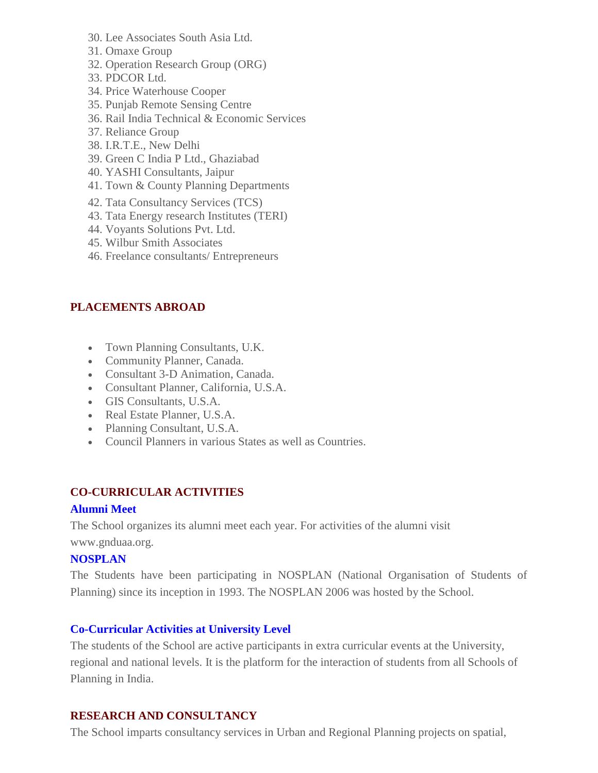- 30. Lee Associates South Asia Ltd.
- 31. Omaxe Group
- 32. Operation Research Group (ORG)
- 33. PDCOR Ltd.
- 34. Price Waterhouse Cooper
- 35. Punjab Remote Sensing Centre
- 36. Rail India Technical & Economic Services
- 37. Reliance Group
- 38. I.R.T.E., New Delhi
- 39. Green C India P Ltd., Ghaziabad
- 40. YASHI Consultants, Jaipur
- 41. Town & County Planning Departments
- 42. Tata Consultancy Services (TCS)
- 43. Tata Energy research Institutes (TERI)
- 44. Voyants Solutions Pvt. Ltd.
- 45. Wilbur Smith Associates
- 46. Freelance consultants/ Entrepreneurs

## **PLACEMENTS ABROAD**

- Town Planning Consultants, U.K.
- Community Planner, Canada.
- Consultant 3-D Animation, Canada.
- Consultant Planner, California, U.S.A.
- GIS Consultants, U.S.A.
- Real Estate Planner, U.S.A.
- Planning Consultant, U.S.A.
- Council Planners in various States as well as Countries.

# **CO-CURRICULAR ACTIVITIES**

### **Alumni Meet**

The School organizes its alumni meet each year. For activities of the alumni visit www.gnduaa.org.

### **NOSPLAN**

The Students have been participating in NOSPLAN (National Organisation of Students of Planning) since its inception in 1993. The NOSPLAN 2006 was hosted by the School.

# **Co-Curricular Activities at University Level**

The students of the School are active participants in extra curricular events at the University, regional and national levels. It is the platform for the interaction of students from all Schools of Planning in India.

### **RESEARCH AND CONSULTANCY**

The School imparts consultancy services in Urban and Regional Planning projects on spatial,